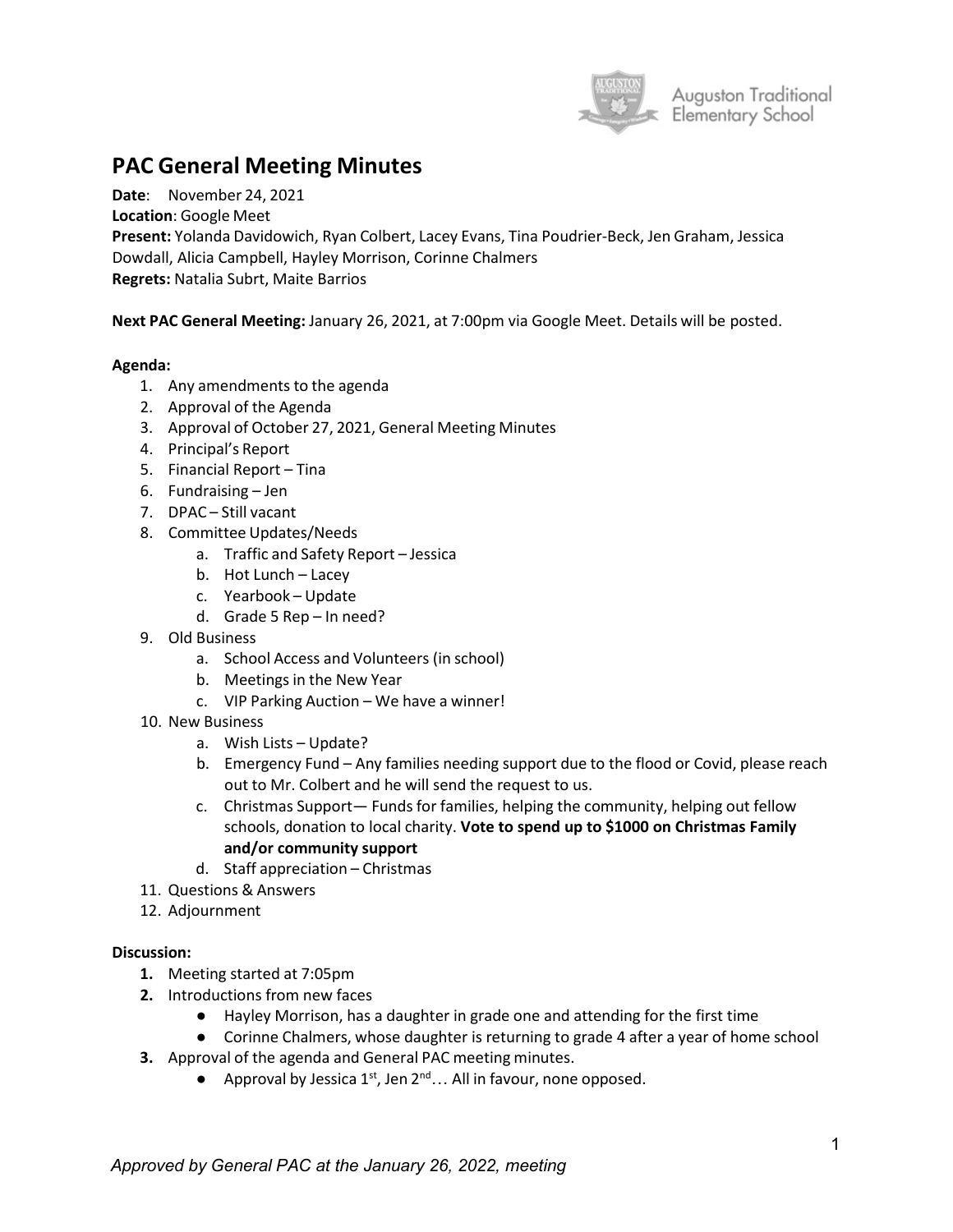

# **PAC General Meeting Minutes**

**Date**: November 24, 2021

**Location**: Google Meet

**Present:** Yolanda Davidowich, Ryan Colbert, Lacey Evans, Tina Poudrier-Beck, Jen Graham, Jessica Dowdall, Alicia Campbell, Hayley Morrison, Corinne Chalmers **Regrets:** Natalia Subrt, Maite Barrios

**Next PAC General Meeting:** January 26, 2021, at 7:00pm via Google Meet. Details will be posted.

#### **Agenda:**

- 1. Any amendments to the agenda
- 2. Approval of the Agenda
- 3. Approval of October 27, 2021, General Meeting Minutes
- 4. Principal's Report
- 5. Financial Report Tina
- 6. Fundraising Jen
- 7. DPAC Still vacant
- 8. Committee Updates/Needs
	- a. Traffic and Safety Report Jessica
	- b. Hot Lunch Lacey
	- c. Yearbook Update
	- d. Grade 5 Rep In need?
- 9. Old Business
	- a. School Access and Volunteers (in school)
	- b. Meetings in the New Year
	- c. VIP Parking Auction We have a winner!
- 10. New Business
	- a. Wish Lists Update?
	- b. Emergency Fund Any families needing support due to the flood or Covid, please reach out to Mr. Colbert and he will send the request to us.
	- c. Christmas Support— Funds for families, helping the community, helping out fellow schools, donation to local charity. **Vote to spend up to \$1000 on Christmas Family and/or community support**
	- d. Staff appreciation Christmas
- 11. Questions & Answers
- 12. Adjournment

#### **Discussion:**

- **1.** Meeting started at 7:05pm
- **2.** Introductions from new faces
	- Hayley Morrison, has a daughter in grade one and attending for the first time
	- Corinne Chalmers, whose daughter is returning to grade 4 after a year of home school
- **3.** Approval of the agenda and General PAC meeting minutes.
	- **•** Approval by Jessica  $1^{st}$ , Jen  $2^{nd}$ ... All in favour, none opposed.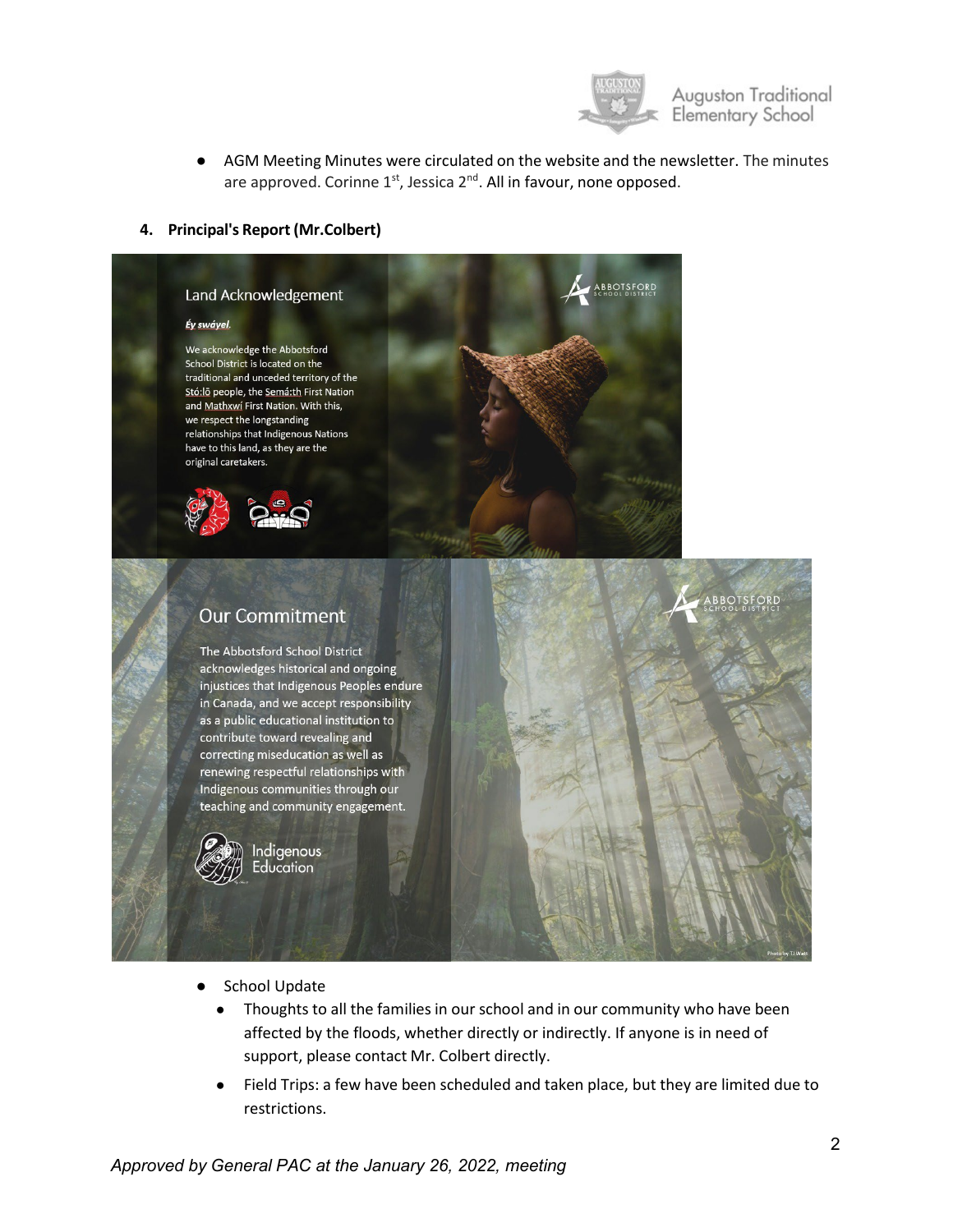

ABBOTSFORD

Auguston Traditional<br>Elementary School

● AGM Meeting Minutes were circulated on the website and the newsletter. The minutes are approved. Corinne 1<sup>st</sup>, Jessica 2<sup>nd</sup>. All in favour, none opposed.

#### **4. Principal's Report (Mr.Colbert)**

#### Land Acknowledgement

#### Éy swáyel.

We acknowledge the Abbotsford School District is located on the traditional and unceded territory of the Stó:lō people, the Semá:th First Nation and Mathxwí First Nation. With this, we respect the longstanding relationships that Indigenous Nations have to this land, as they are the original caretakers.



#### **Our Commitment**

The Abbotsford School District acknowledges historical and ongoing injustices that Indigenous Peoples endure in Canada, and we accept responsibility as a public educational institution to contribute toward revealing and correcting miseducation as well as renewing respectful relationships with Indigenous communities through our teaching and community engagement.



Indigenous Education



- School Update
- Thoughts to all the families in our school and in our community who have been affected by the floods, whether directly or indirectly. If anyone is in need of support, please contact Mr. Colbert directly.
- Field Trips: a few have been scheduled and taken place, but they are limited due to restrictions.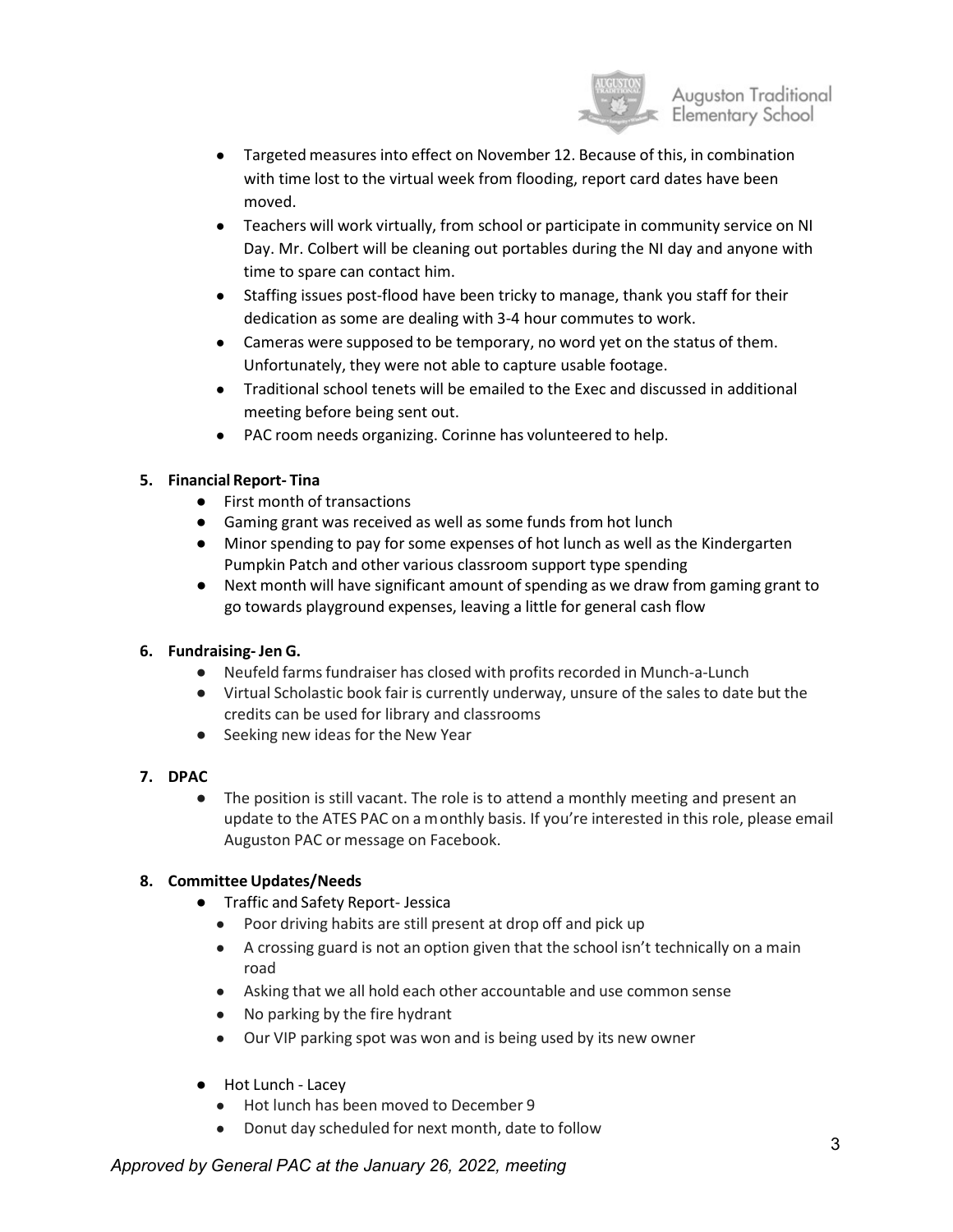

- Targeted measures into effect on November 12. Because of this, in combination with time lost to the virtual week from flooding, report card dates have been moved.
- Teachers will work virtually, from school or participate in community service on NI Day. Mr. Colbert will be cleaning out portables during the NI day and anyone with time to spare can contact him.
- Staffing issues post-flood have been tricky to manage, thank you staff for their dedication as some are dealing with 3-4 hour commutes to work.
- Cameras were supposed to be temporary, no word yet on the status of them. Unfortunately, they were not able to capture usable footage.
- Traditional school tenets will be emailed to the Exec and discussed in additional meeting before being sent out.
- PAC room needs organizing. Corinne has volunteered to help.

# **5. Financial Report- Tina**

- First month of transactions
- Gaming grant was received as well as some funds from hot lunch
- Minor spending to pay for some expenses of hot lunch as well as the Kindergarten Pumpkin Patch and other various classroom support type spending
- Next month will have significant amount of spending as we draw from gaming grant to go towards playground expenses, leaving a little for general cash flow

## **6. Fundraising- Jen G.**

- Neufeld farms fundraiser has closed with profits recorded in Munch-a-Lunch
- Virtual Scholastic book fairis currently underway, unsure of the sales to date but the credits can be used for library and classrooms
- Seeking new ideas for the New Year

## **7. DPAC**

● The position is still vacant. The role is to attend a monthly meeting and present an update to the ATES PAC on a monthly basis. If you're interested in this role, please email Auguston PAC or message on Facebook.

# **8. Committee Updates/Needs**

- Traffic and Safety Report- Jessica
	- Poor driving habits are still present at drop off and pick up
	- A crossing guard is not an option given that the school isn't technically on a main road
	- Asking that we all hold each other accountable and use common sense
	- No parking by the fire hydrant
	- Our VIP parking spot was won and is being used by its new owner
- Hot Lunch Lacey
	- Hot lunch has been moved to December 9
	- Donut day scheduled for next month, date to follow

# *Approved by General PAC at the January 26, 2022, meeting*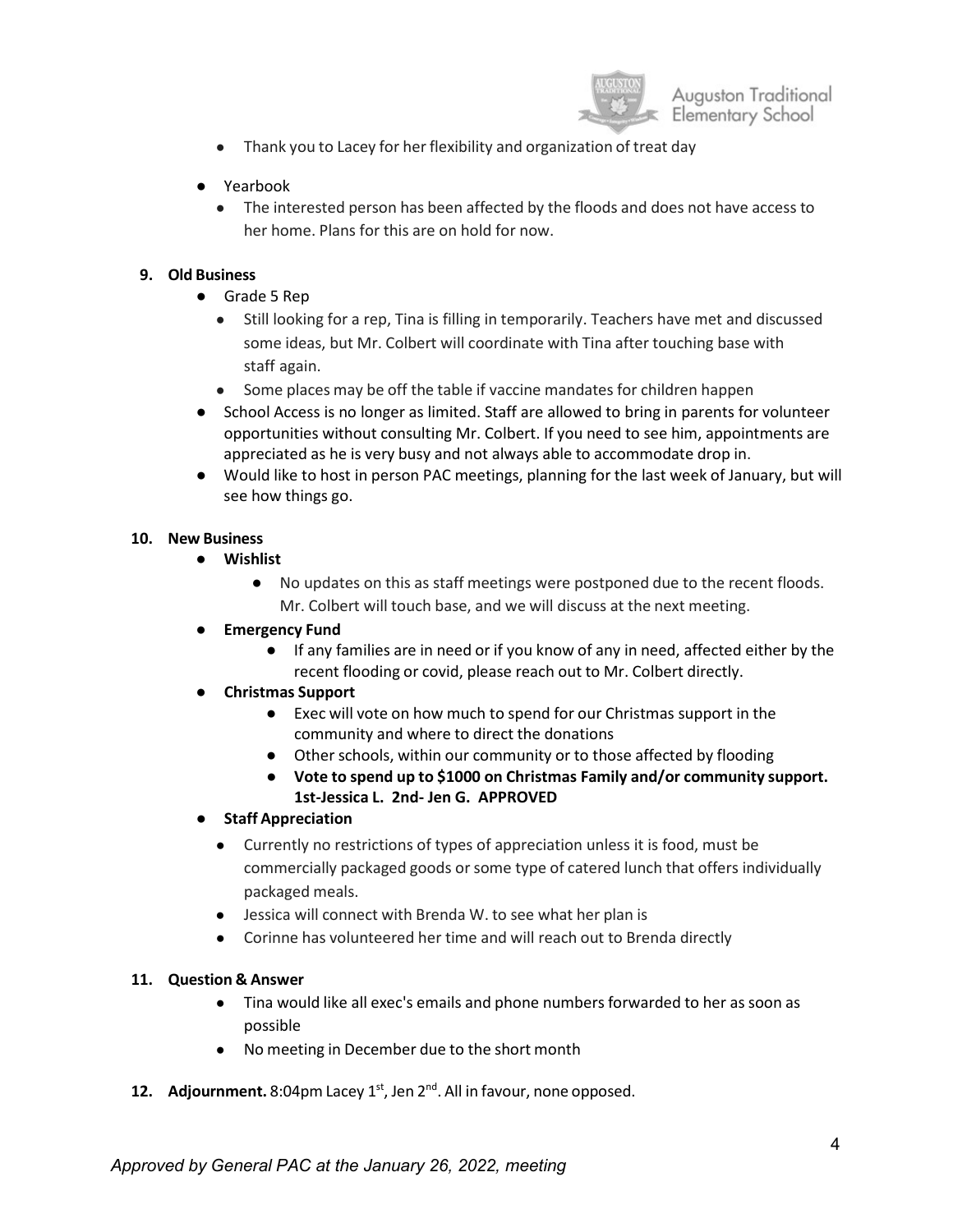

- Thank you to Lacey for her flexibility and organization of treat day
- Yearbook
	- The interested person has been affected by the floods and does not have access to her home. Plans for this are on hold for now.

#### **9. Old Business**

- Grade 5 Rep
	- Still looking for a rep, Tina is filling in temporarily. Teachers have met and discussed some ideas, but Mr. Colbert will coordinate with Tina after touching base with staff again.
	- Some places may be off the table if vaccine mandates for children happen
- School Access is no longer as limited. Staff are allowed to bring in parents for volunteer opportunities without consulting Mr. Colbert. If you need to see him, appointments are appreciated as he is very busy and not always able to accommodate drop in.
- Would like to host in person PAC meetings, planning for the last week of January, but will see how things go.

#### **10. New Business**

- **● Wishlist**
	- No updates on this as staff meetings were postponed due to the recent floods. Mr. Colbert will touch base, and we will discuss at the next meeting.
- **● Emergency Fund**
	- If any families are in need or if you know of any in need, affected either by the recent flooding or covid, please reach out to Mr. Colbert directly.
- **● Christmas Support**
	- Exec will vote on how much to spend for our Christmas support in the community and where to direct the donations
	- Other schools, within our community or to those affected by flooding
	- **Vote to spend up to \$1000 on Christmas Family and/or community support. 1st-Jessica L. 2nd- Jen G. APPROVED**

## **● Staff Appreciation**

- Currently no restrictions of types of appreciation unless it is food, must be commercially packaged goods or some type of catered lunch that offers individually packaged meals.
- Jessica will connect with Brenda W. to see what her plan is
- Corinne has volunteered her time and will reach out to Brenda directly

#### **11. Question & Answer**

- **●** Tina would like all exec's emails and phone numbers forwarded to her as soon as possible
- **●** No meeting in December due to the short month
- **12.** Adjournment. 8:04pm Lacey 1<sup>st</sup>, Jen 2<sup>nd</sup>. All in favour, none opposed.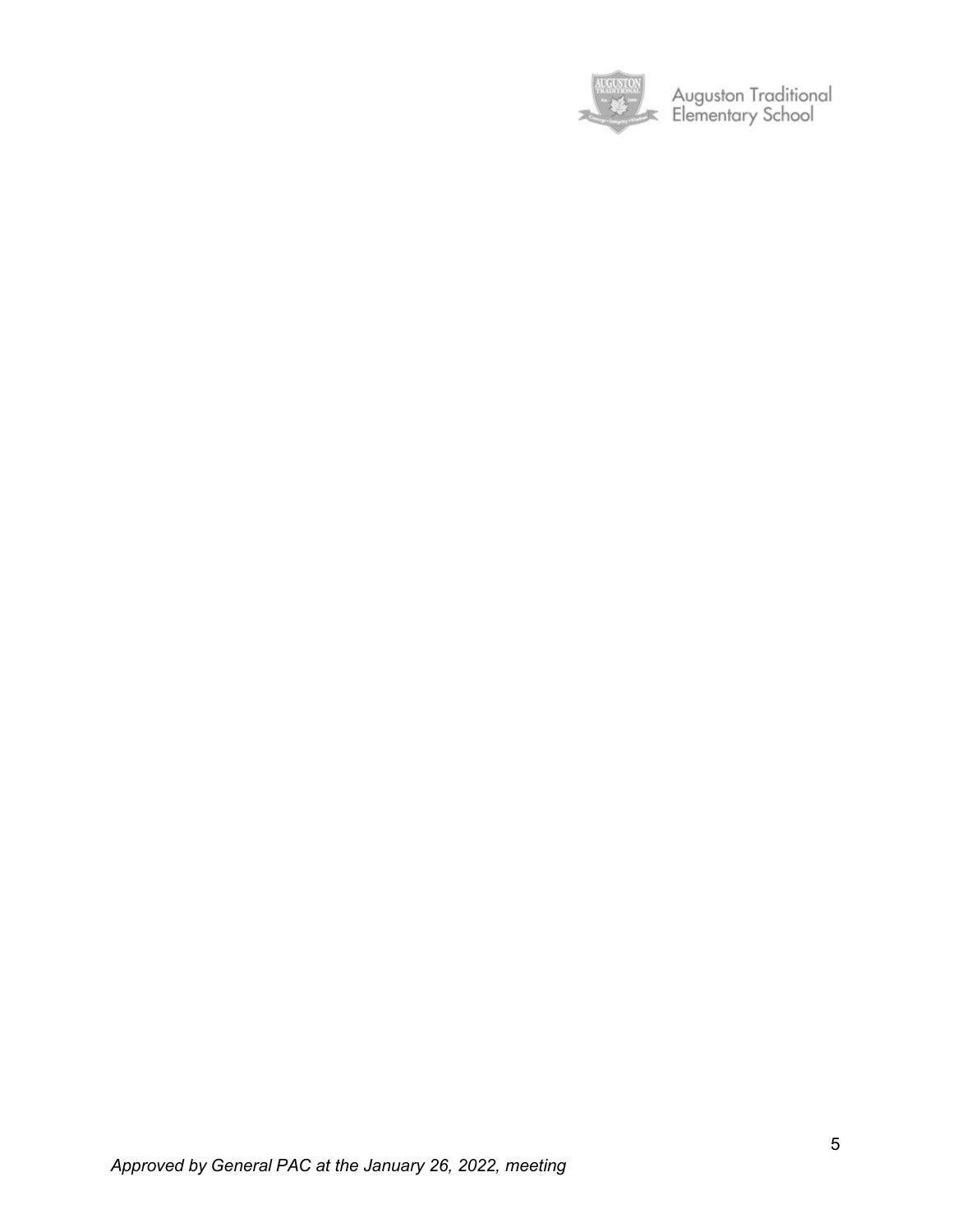

|<br>| Auguston Traditional<br>| Elementary School